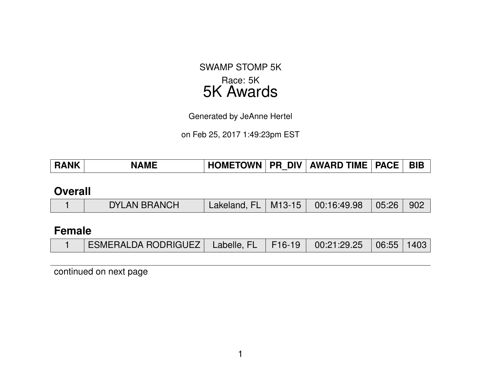# SWAMP STOMP 5K Race: 5K 5K Awards

Generated by JeAnne Hertel

on Feb 25, 2017 1:49:23pm EST

| <b>\ME</b><br><b>RA</b> | <b>OMETOWN</b> | $\lambda$ DIV $\lambda$<br>PR | <b>AWARD TIME   PACE  </b> |  | <b>BIB</b> |
|-------------------------|----------------|-------------------------------|----------------------------|--|------------|
|-------------------------|----------------|-------------------------------|----------------------------|--|------------|

### **Overall**

|  | <b>DYLAN BRANCH</b> |  |  | Lakeland, FL   M13-15   00:16:49.98   05:26   902 |  |  |
|--|---------------------|--|--|---------------------------------------------------|--|--|
|--|---------------------|--|--|---------------------------------------------------|--|--|

## **Female**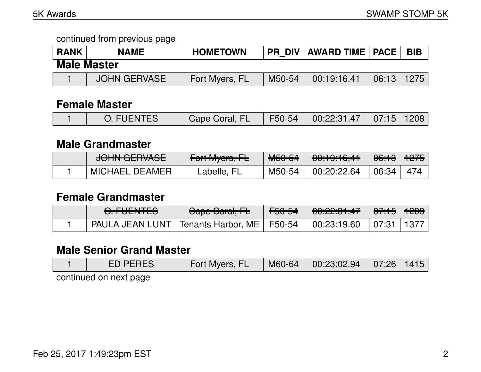| <b>RANK</b> | <b>NAME</b>        | <b>HOMETOWN</b> | <b>PR DIV</b> | AWARD TIME   PACE |                | ' BIB |
|-------------|--------------------|-----------------|---------------|-------------------|----------------|-------|
|             | <b>Male Master</b> |                 |               |                   |                |       |
|             | JOHN GERVASE       | Fort Myers, FL  | M50-54        | 00:19:16.41       | $06:13$   1275 |       |

### **Female Master**

|  | <b>O. FUENTES</b> | Cape Coral, FL |  | $\mid$ F50-54 $\mid$ 00:22:31.47 $\mid$ 07:15 $\mid$ 1208 |  |  |
|--|-------------------|----------------|--|-----------------------------------------------------------|--|--|
|--|-------------------|----------------|--|-----------------------------------------------------------|--|--|

### **Male Grandmaster**

| $1$ $\cap$ $1$ $\cup$ $\cap$ $\cap$ $\cap$ $\cup$ $\cap$ $\cap$<br><del>JUHN ULHVAJE</del> | $\Gamma_{\alpha}$ <sup>+</sup> M <sub>yara</sub> $\Gamma$ I<br>$T$ UITIVIYUIS, ITE | MEDE4<br>™∪∪−ਹਜ | $0.10.10 \times 10^{-11}$<br>00.13.10. <del>4</del> 1 | <del>06:13</del> ∣ <del>1275</del> ∣ |  |
|--------------------------------------------------------------------------------------------|------------------------------------------------------------------------------------|-----------------|-------------------------------------------------------|--------------------------------------|--|
| MICHAEL DEAMER                                                                             | ∟abelle, FL                                                                        | M50-54          | 00:20:22.64                                           | 06:34                                |  |

### **Female Grandmaster**

| <u>A FUENTER</u><br><del>U.TULIVILU</del>                                  | Cape Coral, FL | <del>F50-54</del> | <del>00:22:31.47</del> | │ <del>07:15</del> │ <del>1208</del> │ |  |
|----------------------------------------------------------------------------|----------------|-------------------|------------------------|----------------------------------------|--|
| PAULA JEAN LUNT   Tenants Harbor, ME   F50-54   00:23:19.60   07:31   1377 |                |                   |                        |                                        |  |

## **Male Senior Grand Master**

| <b>ED PERES</b>        | Fort Myers, FL | M60-64 | $\begin{array}{ c c c c c c c c } \hline 00:23:02.94 & 07:26 & 1415 \hline \end{array}$ |  |
|------------------------|----------------|--------|-----------------------------------------------------------------------------------------|--|
| continued on next page |                |        |                                                                                         |  |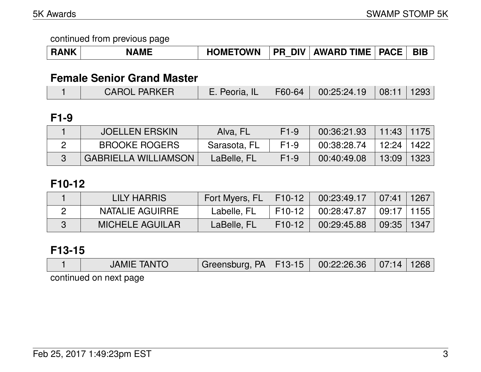| <b>RANK</b> | <b>NAME</b> | <b>TOWN</b><br><b>HOMET</b> | <b>DIV</b><br>PR | <b>AWARD TIME</b> | <b>PACE</b> | <b>BIE</b> |
|-------------|-------------|-----------------------------|------------------|-------------------|-------------|------------|
|-------------|-------------|-----------------------------|------------------|-------------------|-------------|------------|

# **Female Senior Grand Master**

|  | <b>CAROL PARKER</b> | E. Peoria, IL   F60-64   00:25:24.19   08:11   1293 |  |  |  |  |
|--|---------------------|-----------------------------------------------------|--|--|--|--|
|--|---------------------|-----------------------------------------------------|--|--|--|--|

# **F1-9**

| <b>JOELLEN ERSKIN</b>       | Alva, FL     | $F1-9$ | 00:36:21.93 | │ 11:43 │ 1175 │ |      |
|-----------------------------|--------------|--------|-------------|------------------|------|
| <b>BROOKE ROGERS</b>        | Sarasota, FL | $F1-9$ | 00:38:28.74 | 12:24 ∣          | 1422 |
| <b>GABRIELLA WILLIAMSON</b> | LaBelle, FL  | $F1-9$ | 00:40:49.08 | 13:09            | 1323 |

# **F10-12**

| LILY HARRIS            | Fort Myers, FL   F10-12 |                      | 00:23:49.17 | $\mid$ 07:41   1267 |  |
|------------------------|-------------------------|----------------------|-------------|---------------------|--|
| NATALIE AGUIRRE        | Labelle, FL             | $\mid$ F10-12 $\mid$ | 00:28:47.87 | $\mid$ 09:17   1155 |  |
| <b>MICHELE AGUILAR</b> | LaBelle, FL             | F10-12               | 00:29:45.88 | 09:35 1347          |  |

# **F13-15**

|                        | <b>JAMIE TANTO</b> | Greensburg, PA   F13-15   00:22:26.36   07:14   1268 |  |  |  |  |  |  |  |
|------------------------|--------------------|------------------------------------------------------|--|--|--|--|--|--|--|
| continued on novt nago |                    |                                                      |  |  |  |  |  |  |  |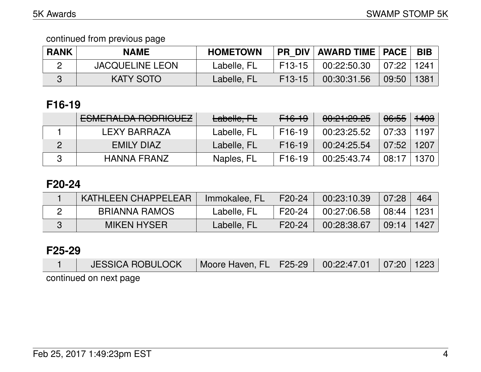| <b>RANK</b> | <b>NAME</b>            | <b>HOMETOWN</b> |          | PR DIV   AWARD TIME   PACE |                             | <b>BIB</b> |
|-------------|------------------------|-----------------|----------|----------------------------|-----------------------------|------------|
|             | <b>JACQUELINE LEON</b> | Labelle, FL     | $F13-15$ | 00:22:50.30                | $\mid 07:22 \mid 1241 \mid$ |            |
|             | <b>KATY SOTO</b>       | Labelle, FL     | F13-15   | 00:30:31.56                | 09:50                       | 1381       |

# **F16-19**

| <b>ESMERALDA RODRIGUEZ</b> | Labelle, FL | F <sub>16-19</sub>  | 00:21:29.25 | <del>06:55</del> | <del>1403</del> |
|----------------------------|-------------|---------------------|-------------|------------------|-----------------|
| LEXY BARRAZA               | Labelle, FL | F <sub>16</sub> -19 | 00:23:25.52 | 07:33            | 1197            |
| EMILY DIAZ                 | Labelle, FL | F <sub>16</sub> -19 | 00:24:25.54 | 07:52            | 1207            |
| <b>HANNA FRANZ</b>         | Naples, FL  | F <sub>16</sub> -19 | 00:25:43.74 | 08:17            | 1370            |

## **F20-24**

| KATHLEEN CHAPPELEAR | Immokalee, FL | F20-24              | 00:23:10.39 | 07:28            | 464  |
|---------------------|---------------|---------------------|-------------|------------------|------|
| BRIANNA RAMOS       | Labelle, FL   | F20-24              | 00:27:06.58 | │ 08:44 │ 1231 │ |      |
| <b>MIKEN HYSER</b>  | Labelle, FL   | F <sub>20</sub> -24 | 00:28:38.67 | 09:14            | 1427 |

### **F25-29**

| <b>JESSICA ROBULOCK</b> | Moore Haven, FL   F25-29   00:22:47.01   07:20   1223 |  |  |
|-------------------------|-------------------------------------------------------|--|--|
| continued on next page  |                                                       |  |  |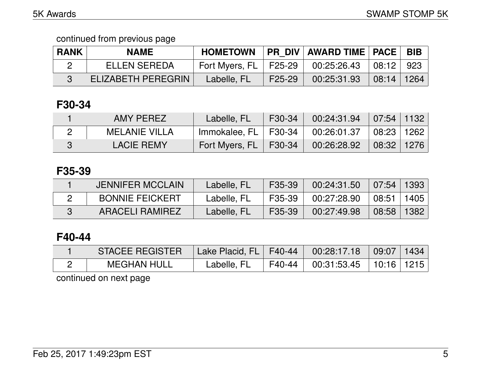| <b>RANK</b> | <b>NAME</b>               | <b>HOMETOWN</b>         |        | <b>PR DIV AWARD TIME   PACE  </b> |            | <b>BIB</b> |
|-------------|---------------------------|-------------------------|--------|-----------------------------------|------------|------------|
|             | <b>ELLEN SEREDA</b>       | Fort Myers, FL   F25-29 |        | 00:25:26.43                       | 08:12 923  |            |
|             | <b>ELIZABETH PEREGRIN</b> | Labelle, FL             | F25-29 | 00:25:31.93                       | 08:14 1264 |            |

# **F30-34**

| AMY PEREZ            | Labelle, FL             | $\sqrt{530-34}$ | $00:24:31.94$ $07:54$ $1132$               |  |
|----------------------|-------------------------|-----------------|--------------------------------------------|--|
| <b>MELANIE VILLA</b> | Immokalee, FL   F30-34  |                 | $00:26:01.37$ $\mid 08:23 \mid 1262 \mid$  |  |
| <b>LACIE REMY</b>    | Fort Myers, FL   F30-34 |                 | $00:26:28.92 \; \mid 08:32 \mid 1276 \mid$ |  |

# **F35-39**

| <b>JENNIFER MCCLAIN</b> | Labelle, FL | F35-39 | 00:24:31.50 | $\mid$ 07:54   1393 |  |
|-------------------------|-------------|--------|-------------|---------------------|--|
| <b>BONNIE FEICKERT</b>  | Labelle, FL | F35-39 | 00:27:28.90 | 08:51   1405        |  |
| ARACELI RAMIREZ         | Labelle, FL | F35-39 | 00:27:49.98 | $08:58$   1382      |  |

## **F40-44**

| <b>STACEE REGISTER</b> | Lake Placid, FL   F40-44 |        | $00:28:17.18$ 09:07 1434     |  |
|------------------------|--------------------------|--------|------------------------------|--|
| MEGHAN HULL            | Labelle, FL              | F40-44 | $00:31:53.45$   10:16   1215 |  |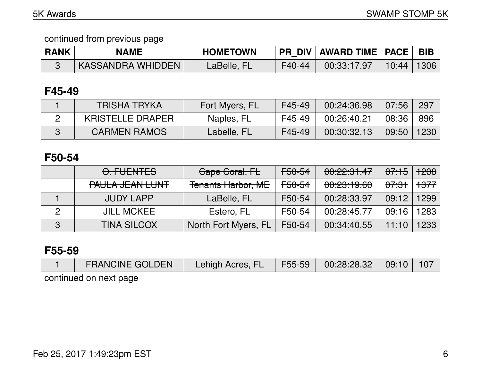| <b>RANK</b> | <b>NAME</b>       | <b>HOMETOWN</b> |        | FR_DIV   AWARD TIME   PACE   BIB |                |  |
|-------------|-------------------|-----------------|--------|----------------------------------|----------------|--|
|             | KASSANDRA WHIDDEN | LaBelle, FL     | F40-44 | 00:33:17.97                      | $10:44$   1306 |  |

### **F45-49**

| <b>TRISHA TRYKA</b>     | Fort Myers, FL | F45-49 | 00:24:36.98 | 07:56 | 297  |
|-------------------------|----------------|--------|-------------|-------|------|
| <b>KRISTELLE DRAPER</b> | Naples, FL     | F45-49 | 00:26:40.21 | 08:36 | 896  |
| <b>CARMEN RAMOS</b>     | Labelle, FL    | F45-49 | 00:30:32.13 | 09:50 | 1230 |

## **F50-54**

|   | O. FUENTES                                        | Cape Coral, FL            | <del>F50-54</del> | 00:22:31.47                               | <del>07:15</del> | 1208            |
|---|---------------------------------------------------|---------------------------|-------------------|-------------------------------------------|------------------|-----------------|
|   | DALIL A IT ANLL LINIT<br><u>LUQLU QEVIL FOIJI</u> | <b>Tenants Harbor, ME</b> | <del>F50-54</del> | 00.00.10 C<br><u><del>UU.CU.TUU</del></u> | <del>07:31</del> | <del>1377</del> |
|   | <b>JUDY LAPP</b>                                  | LaBelle, FL               | F50-54            | 00:28:33.97                               | 09:12            | 1299            |
| 2 | <b>JILL MCKEE</b>                                 | Estero, FL                | F50-54            | 00:28:45.77                               | 09:16            | 1283            |
| 3 | <b>TINA SILCOX</b>                                | North Fort Myers, FL      | F50-54            | 00:34:40.55                               | 11:10            | 1233            |

### **F55-59**

| <b>FRANCINE GOLDEN</b> | Lehigh Acres, FL   F55-59   00:28:28.32   09:10 |  | $\setminus$ 107 |
|------------------------|-------------------------------------------------|--|-----------------|
| continued on next page |                                                 |  |                 |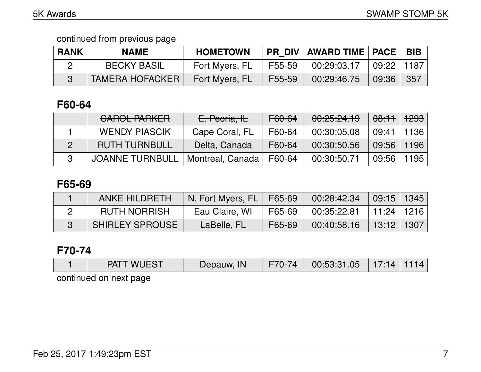| <b>RANK</b> | <b>NAME</b>            | <b>HOMETOWN</b> |        | <b>PR DIV   AWARD TIME   PACE  </b> |              | <b>BIB</b> |
|-------------|------------------------|-----------------|--------|-------------------------------------|--------------|------------|
|             | <b>BECKY BASIL</b>     | Fort Myers, FL  | F55-59 | 00:29:03.17                         | 09:22   1187 |            |
|             | <b>TAMERA HOFACKER</b> | Fort Myers, FL  | F55-59 | 00:29:46.75                         | 09:36        | 357        |

# **F60-64**

| <b>CAROL PARKER</b>    | E. Peoria, IL    | F60-64 | 00:25:24.19 | <del>08:11</del> | <del>1293</del> |
|------------------------|------------------|--------|-------------|------------------|-----------------|
| <b>WENDY PIASCIK</b>   | Cape Coral, FL   | F60-64 | 00:30:05.08 | 09:41            | 1136            |
| <b>RUTH TURNBULL</b>   | Delta, Canada    | F60-64 | 00:30:50.56 | 09:56            | 1196            |
| <b>JOANNE TURNBULL</b> | Montreal, Canada | F60-64 | 00:30:50.71 | 09:56            | 1195            |

## **F65-69**

| <b>ANKE HILDRETH</b>   | N. Fort Myers, FL   F65-69 |        | 00:28:42.34 | $\vert$ 09:15   1345               |  |
|------------------------|----------------------------|--------|-------------|------------------------------------|--|
| <b>RUTH NORRISH</b>    | Eau Claire, WI             | F65-69 | 00:35:22.81 | $\vert$ 11:24 $\vert$ 1216 $\vert$ |  |
| <b>SHIRLEY SPROUSE</b> | LaBelle, FL                | F65-69 | 00:40:58.16 | $ $ 13:12 $ $ 1307 $ $             |  |

# **F70-74**

| <b>PATT WUEST</b>      | Depauw, IN | F70-74 | 00:53:31.05 | 17:14 |  |
|------------------------|------------|--------|-------------|-------|--|
| continued on novt nogo |            |        |             |       |  |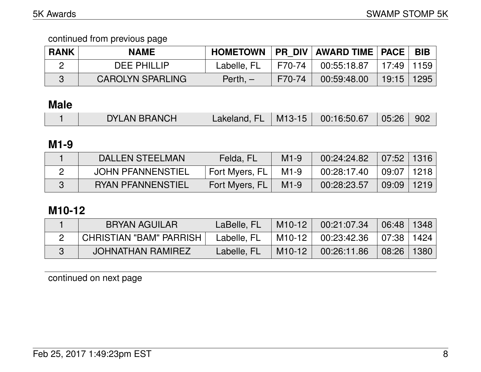| <b>RANK</b> | <b>NAME</b>             |             |        | HOMETOWN   PR DIV   AWARD TIME   PACE |               | BIB  |
|-------------|-------------------------|-------------|--------|---------------------------------------|---------------|------|
|             | <b>DEE PHILLIP</b>      | Labelle, FL | F70-74 | 00:55:18.87                           | │ 17:49│1159│ |      |
|             | <b>CAROLYN SPARLING</b> | Perth, $-$  | F70-74 | 00:59:48.00                           | 19:15         | 1295 |

# **Male**

| Lakeland, FL   M13-15   00:16:50.67   05:26   902<br><b>DYLAN BRANCH</b> |  |
|--------------------------------------------------------------------------|--|
|--------------------------------------------------------------------------|--|

## **M1-9**

| DALLEN STEELMAN          | Felda, FL      | $M1-9$ | 00:24:24.82 | 07:52 1316     |      |
|--------------------------|----------------|--------|-------------|----------------|------|
| <b>JOHN PFANNENSTIEL</b> | Fort Myers, FL | $M1-9$ | 00:28:17.40 | $09:07$   1218 |      |
| <b>RYAN PFANNENSTIEL</b> | Fort Myers, FL | $M1-9$ | 00:28:23.57 | 09:09          | 1219 |

# **M10-12**

| BRYAN AGUILAR            | LaBelle, FL | M10-12              | 00:21:07.34 | 06:48                 | 1348 |
|--------------------------|-------------|---------------------|-------------|-----------------------|------|
| CHRISTIAN "BAM" PARRISH  | Labelle, FL | M10-12              | 00:23:42.36 | $\vert$ 07:38 $\vert$ | 1424 |
| <b>JOHNATHAN RAMIREZ</b> | Labelle, FL | M <sub>10</sub> -12 | 00:26:11.86 | 08:26                 | 1380 |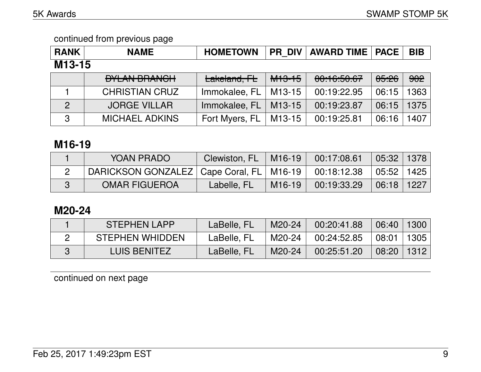| <b>RANK</b>    | <b>NAME</b>           | <b>HOMETOWN</b> |                   | <b>PR DIV   AWARD TIME   PACE</b> |       | <b>BIB</b> |
|----------------|-----------------------|-----------------|-------------------|-----------------------------------|-------|------------|
| M13-15         |                       |                 |                   |                                   |       |            |
|                | <b>DYLAN BRANCH</b>   | Lakeland, FL    | <del>M13-15</del> | 00:16:50.67                       | 05:26 | 902        |
|                | <b>CHRISTIAN CRUZ</b> | Immokalee, FL   | M13-15            | 00:19:22.95                       | 06:15 | 1363       |
| $\overline{2}$ | <b>JORGE VILLAR</b>   | Immokalee, FL   | M13-15            | 00:19:23.87                       | 06:15 | 1375       |
| 3              | <b>MICHAEL ADKINS</b> | Fort Myers, FL  | M13-15            | 00:19:25.81                       | 06:16 | 1407       |

# **M16-19**

| YOAN PRADO                                                 | Clewiston, FL |        | $M16-19$ 00:17:08.61 | 05:32   1378 |  |
|------------------------------------------------------------|---------------|--------|----------------------|--------------|--|
| DARICKSON GONZALEZ   Cape Coral, FL   M16-19   00:18:12.38 |               |        |                      | 05:52   1425 |  |
| <b>OMAR FIGUEROA</b>                                       | Labelle, FL   | M16-19 | 00:19:33.29          | 06:18   1227 |  |

# **M20-24**

| <b>STEPHEN LAPP</b>    | LaBelle, FL | M20-24 | 00:20:41.88 | $\vert$ 06:40 $\vert$ | 1300                                 |
|------------------------|-------------|--------|-------------|-----------------------|--------------------------------------|
| <b>STEPHEN WHIDDEN</b> | LaBelle, FL | M20-24 | 00:24:52.85 | 08:01                 | $^+$ 1305 $^-$                       |
| <b>LUIS BENITEZ</b>    | LaBelle, FL | M20-24 | 00:25:51.20 | $\mid$ 08:20 $\mid$   | $^{\backprime}$ 1312 $^{\backprime}$ |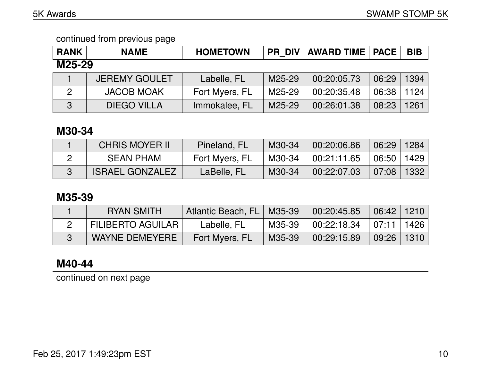| <b>RANK</b>    | <b>NAME</b>          | <b>HOMETOWN</b> | <b>PR DIV</b> | <b>AWARD TIME   PACE</b> |       | <b>BIB</b> |
|----------------|----------------------|-----------------|---------------|--------------------------|-------|------------|
| M25-29         |                      |                 |               |                          |       |            |
|                | <b>JEREMY GOULET</b> | Labelle, FL     | M25-29        | 00:20:05.73              | 06:29 | 1394       |
| $\overline{2}$ | <b>JACOB MOAK</b>    | Fort Myers, FL  | M25-29        | 00:20:35.48              | 06:38 | 1124       |
| 3              | <b>DIEGO VILLA</b>   | Immokalee, FL   | M25-29        | 00:26:01.38              | 08:23 | 1261       |

### **M30-34**

| <b>CHRIS MOYER II</b>  | Pineland, FL   | M30-34 | 00:20:06.86 | $06:29$   1284 |      |
|------------------------|----------------|--------|-------------|----------------|------|
| <b>SEAN PHAM</b>       | Fort Myers, FL | M30-34 | 00:21:11.65 | 06:50   1429   |      |
| <b>ISRAEL GONZALEZ</b> | LaBelle, FL    | M30-34 | 00:22:07.03 | 07:08          | 1332 |

## **M35-39**

| <b>RYAN SMITH</b>        | Atlantic Beach, FL   M35-39 |        | 00:20:45.85                               | 06:42 1210          |  |
|--------------------------|-----------------------------|--------|-------------------------------------------|---------------------|--|
| <b>FILIBERTO AGUILAR</b> | Labelle, FL                 | M35-39 | $00:22:18.34$ $\mid 07:11 \mid 1426 \mid$ |                     |  |
| WAYNE DEMEYERE           | Fort Myers, FL              | M35-39 | 00:29:15.89                               | $\mid$ 09:26   1310 |  |

## **M40-44**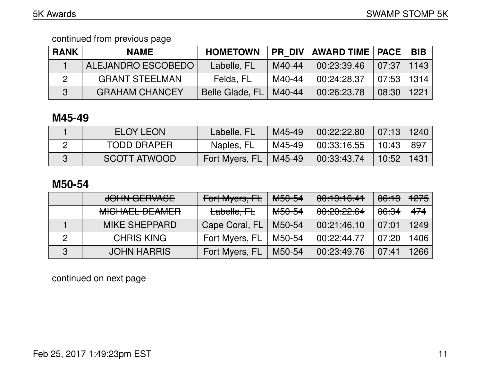| <b>RANK</b> | <b>NAME</b>           | <b>HOMETOWN</b> |        | PR DIV   AWARD TIME   PACE |                                 | BIB  |
|-------------|-----------------------|-----------------|--------|----------------------------|---------------------------------|------|
|             | ALEJANDRO ESCOBEDO    | Labelle, FL     | M40-44 | 00:23:39.46                | $\mid$ 07:37 $\mid$ 1143 $\mid$ |      |
|             | <b>GRANT STEELMAN</b> | Felda, FL       | M40-44 | 00:24:28.37                | 07:53   1314                    |      |
|             | <b>GRAHAM CHANCEY</b> | Belle Glade, FL | M40-44 | 00:26:23.78                | 08:30                           | 1221 |

# **M45-49**

| ELOY LEON          | Labelle, FL    | M45-49 | 00:22:22.80   | $07:13$   1240 |      |
|--------------------|----------------|--------|---------------|----------------|------|
| <b>TODD DRAPER</b> | Naples, FL     | M45-49 | $00:33:16.55$ | 10:43          | -897 |
| SCOTT ATWOOD       | Fort Myers, FL | M45-49 | 00:33:43.74   | $10:52$   1431 |      |

### **M50-54**

|   | JOHN GERVASE                                     | Fort Myers, FL | M <sub>50-54</sub> | 00:19:16:41 | <del>06:13</del> | <del>1275</del> |
|---|--------------------------------------------------|----------------|--------------------|-------------|------------------|-----------------|
|   | <u>MIQUAEL DE AMED</u><br><b>MIULIALE VLAWER</b> | Labelle, FL    | <del>M50-54</del>  | 00:20:22.64 | <del>06:34</del> | 474             |
|   | <b>MIKE SHEPPARD</b>                             | Cape Coral, FL | M50-54             | 00:21:46.10 | 07:01            | 1249            |
|   | <b>CHRIS KING</b>                                | Fort Myers, FL | M50-54             | 00:22:44.77 | 07:20            | 1406            |
| 3 | <b>JOHN HARRIS</b>                               | Fort Myers, FL | M50-54             | 00:23:49.76 | 07:41            | 1266            |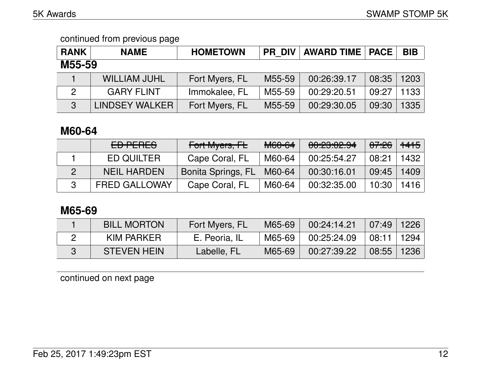| <b>RANK</b>   | <b>NAME</b>         | <b>HOMETOWN</b> | PR DIV | <b>AWARD TIME   PACE  </b> |       | <b>BIB</b> |
|---------------|---------------------|-----------------|--------|----------------------------|-------|------------|
| M55-59        |                     |                 |        |                            |       |            |
|               | <b>WILLIAM JUHL</b> | Fort Myers, FL  | M55-59 | 00:26:39.17                | 08:35 | 1203       |
| $\mathcal{P}$ | <b>GARY FLINT</b>   | Immokalee, FL   | M55-59 | 00:29:20.51                | 09:27 | 1133       |
| $\mathbf{3}$  | LINDSEY WALKER      | Fort Myers, FL  | M55-59 | 00:29:30.05                | 09:30 | 1335       |

## **M60-64**

| ED PERES             | Fort Myers, FL     | M60-64 | 00:23:02.94 | <del>07:26</del> | $+4+5$            |
|----------------------|--------------------|--------|-------------|------------------|-------------------|
| ED QUILTER           | Cape Coral, FL     | M60-64 | 00:25:54.27 | 08:21            | 1432 <sub>1</sub> |
| <b>NEIL HARDEN</b>   | Bonita Springs, FL | M60-64 | 00:30:16.01 | 09:45            | 1409              |
| <b>FRED GALLOWAY</b> | Cape Coral, FL     | M60-64 | 00:32:35.00 | 10:30            | 1416              |

## **M65-69**

| <b>BILL MORTON</b> | Fort Myers, FL | M65-69 | 00:24:14.21 | 07:49 | 1226 |
|--------------------|----------------|--------|-------------|-------|------|
| KIM PARKER         | E. Peoria, IL  | M65-69 | 00:25:24.09 | 08:11 | 1294 |
| <b>STEVEN HEIN</b> | Labelle, FL    | M65-69 | 00:27:39.22 | 08:55 | 1236 |